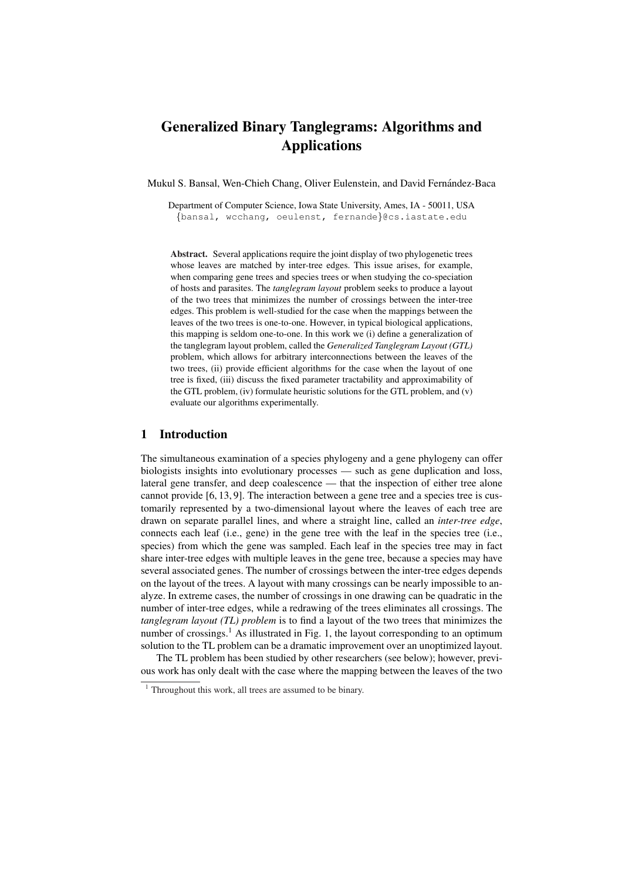# Generalized Binary Tanglegrams: Algorithms and Applications

Mukul S. Bansal, Wen-Chieh Chang, Oliver Eulenstein, and David Fernández-Baca

Department of Computer Science, Iowa State University, Ames, IA - 50011, USA {bansal, wcchang, oeulenst, fernande}@cs.iastate.edu

Abstract. Several applications require the joint display of two phylogenetic trees whose leaves are matched by inter-tree edges. This issue arises, for example, when comparing gene trees and species trees or when studying the co-speciation of hosts and parasites. The *tanglegram layout* problem seeks to produce a layout of the two trees that minimizes the number of crossings between the inter-tree edges. This problem is well-studied for the case when the mappings between the leaves of the two trees is one-to-one. However, in typical biological applications, this mapping is seldom one-to-one. In this work we (i) define a generalization of the tanglegram layout problem, called the *Generalized Tanglegram Layout (GTL)* problem, which allows for arbitrary interconnections between the leaves of the two trees, (ii) provide efficient algorithms for the case when the layout of one tree is fixed, (iii) discuss the fixed parameter tractability and approximability of the GTL problem, (iv) formulate heuristic solutions for the GTL problem, and (v) evaluate our algorithms experimentally.

## 1 Introduction

The simultaneous examination of a species phylogeny and a gene phylogeny can offer biologists insights into evolutionary processes — such as gene duplication and loss, lateral gene transfer, and deep coalescence — that the inspection of either tree alone cannot provide [6, 13, 9]. The interaction between a gene tree and a species tree is customarily represented by a two-dimensional layout where the leaves of each tree are drawn on separate parallel lines, and where a straight line, called an *inter-tree edge*, connects each leaf (i.e., gene) in the gene tree with the leaf in the species tree (i.e., species) from which the gene was sampled. Each leaf in the species tree may in fact share inter-tree edges with multiple leaves in the gene tree, because a species may have several associated genes. The number of crossings between the inter-tree edges depends on the layout of the trees. A layout with many crossings can be nearly impossible to analyze. In extreme cases, the number of crossings in one drawing can be quadratic in the number of inter-tree edges, while a redrawing of the trees eliminates all crossings. The *tanglegram layout (TL) problem* is to find a layout of the two trees that minimizes the number of crossings.<sup>1</sup> As illustrated in Fig. 1, the layout corresponding to an optimum solution to the TL problem can be a dramatic improvement over an unoptimized layout.

The TL problem has been studied by other researchers (see below); however, previous work has only dealt with the case where the mapping between the leaves of the two

 $1$  Throughout this work, all trees are assumed to be binary.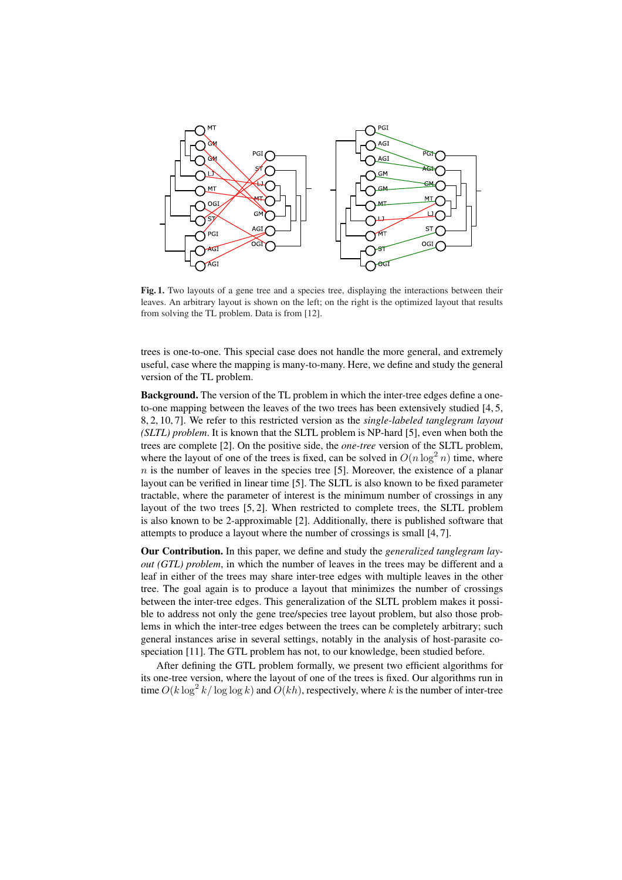

Fig. 1. Two layouts of a gene tree and a species tree, displaying the interactions between their leaves. An arbitrary layout is shown on the left; on the right is the optimized layout that results from solving the TL problem. Data is from [12].

trees is one-to-one. This special case does not handle the more general, and extremely useful, case where the mapping is many-to-many. Here, we define and study the general version of the TL problem.

Background. The version of the TL problem in which the inter-tree edges define a oneto-one mapping between the leaves of the two trees has been extensively studied [4, 5, 8, 2, 10, 7]. We refer to this restricted version as the *single-labeled tanglegram layout (SLTL) problem*. It is known that the SLTL problem is NP-hard [5], even when both the trees are complete [2]. On the positive side, the *one-tree* version of the SLTL problem, where the layout of one of the trees is fixed, can be solved in  $O(n \log^2 n)$  time, where  $n$  is the number of leaves in the species tree [5]. Moreover, the existence of a planar layout can be verified in linear time [5]. The SLTL is also known to be fixed parameter tractable, where the parameter of interest is the minimum number of crossings in any layout of the two trees [5, 2]. When restricted to complete trees, the SLTL problem is also known to be 2-approximable [2]. Additionally, there is published software that attempts to produce a layout where the number of crossings is small [4, 7].

Our Contribution. In this paper, we define and study the *generalized tanglegram layout (GTL) problem*, in which the number of leaves in the trees may be different and a leaf in either of the trees may share inter-tree edges with multiple leaves in the other tree. The goal again is to produce a layout that minimizes the number of crossings between the inter-tree edges. This generalization of the SLTL problem makes it possible to address not only the gene tree/species tree layout problem, but also those problems in which the inter-tree edges between the trees can be completely arbitrary; such general instances arise in several settings, notably in the analysis of host-parasite cospeciation [11]. The GTL problem has not, to our knowledge, been studied before.

After defining the GTL problem formally, we present two efficient algorithms for its one-tree version, where the layout of one of the trees is fixed. Our algorithms run in time  $O(k \log^2 k / \log \log k)$  and  $O(kh)$ , respectively, where k is the number of inter-tree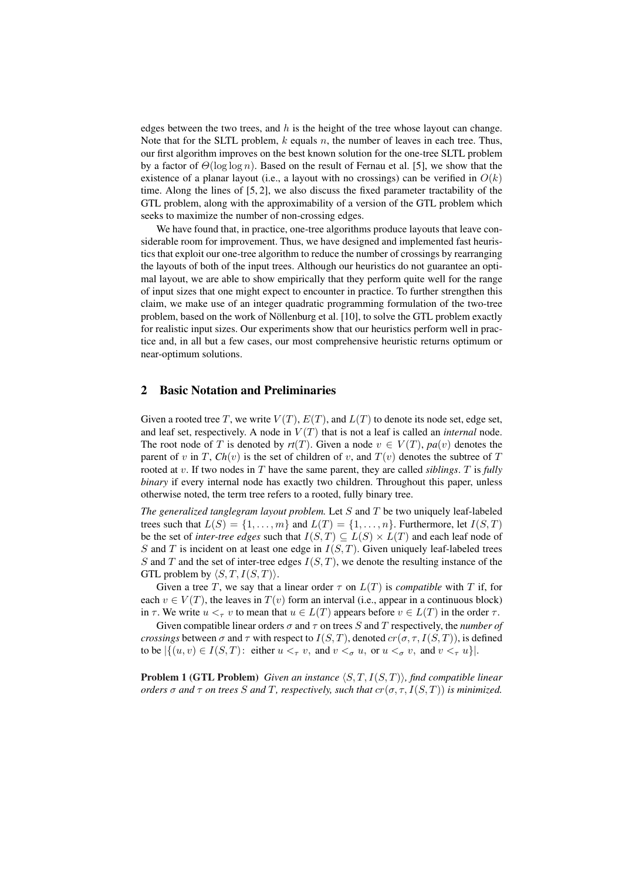edges between the two trees, and  $h$  is the height of the tree whose layout can change. Note that for the SLTL problem,  $k$  equals  $n$ , the number of leaves in each tree. Thus, our first algorithm improves on the best known solution for the one-tree SLTL problem by a factor of  $\Theta(\log \log n)$ . Based on the result of Fernau et al. [5], we show that the existence of a planar layout (i.e., a layout with no crossings) can be verified in  $O(k)$ time. Along the lines of  $[5, 2]$ , we also discuss the fixed parameter tractability of the GTL problem, along with the approximability of a version of the GTL problem which seeks to maximize the number of non-crossing edges.

We have found that, in practice, one-tree algorithms produce layouts that leave considerable room for improvement. Thus, we have designed and implemented fast heuristics that exploit our one-tree algorithm to reduce the number of crossings by rearranging the layouts of both of the input trees. Although our heuristics do not guarantee an optimal layout, we are able to show empirically that they perform quite well for the range of input sizes that one might expect to encounter in practice. To further strengthen this claim, we make use of an integer quadratic programming formulation of the two-tree problem, based on the work of Nöllenburg et al. [10], to solve the GTL problem exactly for realistic input sizes. Our experiments show that our heuristics perform well in practice and, in all but a few cases, our most comprehensive heuristic returns optimum or near-optimum solutions.

### 2 Basic Notation and Preliminaries

Given a rooted tree T, we write  $V(T)$ ,  $E(T)$ , and  $L(T)$  to denote its node set, edge set, and leaf set, respectively. A node in  $V(T)$  that is not a leaf is called an *internal* node. The root node of T is denoted by  $rt(T)$ . Given a node  $v \in V(T)$ ,  $pa(v)$  denotes the parent of v in T,  $Ch(v)$  is the set of children of v, and  $T(v)$  denotes the subtree of T rooted at v. If two nodes in T have the same parent, they are called *siblings*. T is *fully binary* if every internal node has exactly two children. Throughout this paper, unless otherwise noted, the term tree refers to a rooted, fully binary tree.

*The generalized tanglegram layout problem.* Let S and T be two uniquely leaf-labeled trees such that  $L(S) = \{1, \ldots, m\}$  and  $L(T) = \{1, \ldots, n\}$ . Furthermore, let  $I(S, T)$ be the set of *inter-tree edges* such that  $I(S,T) \subseteq L(S) \times L(T)$  and each leaf node of  $S$  and  $T$  is incident on at least one edge in  $I(S, T)$ . Given uniquely leaf-labeled trees S and T and the set of inter-tree edges  $I(S,T)$ , we denote the resulting instance of the GTL problem by  $\langle S, T, I(S, T) \rangle$ .

Given a tree T, we say that a linear order  $\tau$  on  $L(T)$  is *compatible* with T if, for each  $v \in V(T)$ , the leaves in  $T(v)$  form an interval (i.e., appear in a continuous block) in  $\tau$ . We write  $u <_{\tau} v$  to mean that  $u \in L(T)$  appears before  $v \in L(T)$  in the order  $\tau$ .

Given compatible linear orders  $\sigma$  and  $\tau$  on trees S and T respectively, the *number of crossings* between  $\sigma$  and  $\tau$  with respect to  $I(S, T)$ , denoted  $cr(\sigma, \tau, I(S, T))$ , is defined to be  $|\{(u, v) \in I(S,T) :$  either  $u <_{\tau} v$ , and  $v <_{\sigma} u$ , or  $u <_{\sigma} v$ , and  $v <_{\tau} u\}|$ .

**Problem 1 (GTL Problem)** *Given an instance*  $\langle S, T, I(S, T) \rangle$ *, find compatible linear orders*  $\sigma$  *and*  $\tau$  *on trees* S *and* T, *respectively, such that*  $cr(\sigma, \tau, I(S,T))$  *is minimized.*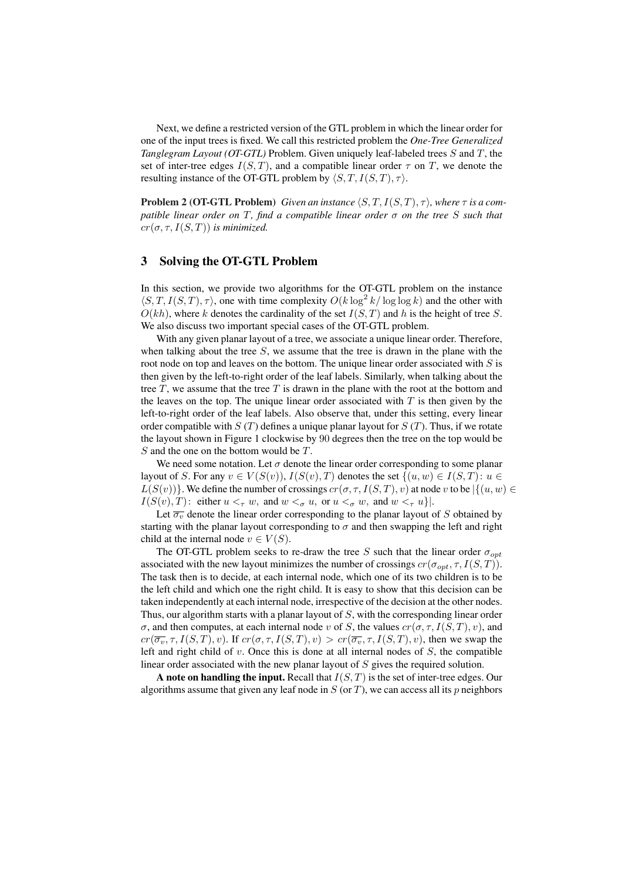Next, we define a restricted version of the GTL problem in which the linear order for one of the input trees is fixed. We call this restricted problem the *One-Tree Generalized Tanglegram Layout (OT-GTL)* Problem. Given uniquely leaf-labeled trees S and T, the set of inter-tree edges  $I(S,T)$ , and a compatible linear order  $\tau$  on T, we denote the resulting instance of the OT-GTL problem by  $\langle S, T, I(S, T), \tau \rangle$ .

**Problem 2 (OT-GTL Problem)** *Given an instance*  $\langle S, T, I(S, T), \tau \rangle$ *, where*  $\tau$  *is a compatible linear order on* T*, find a compatible linear order* σ *on the tree* S *such that*  $cr(\sigma, \tau, I(S,T))$  *is minimized.* 

### 3 Solving the OT-GTL Problem

In this section, we provide two algorithms for the OT-GTL problem on the instance  $\langle S, T, I(S, T), \tau \rangle$ , one with time complexity  $O(k \log^2 k / \log \log k)$  and the other with  $O(kh)$ , where k denotes the cardinality of the set  $I(S,T)$  and h is the height of tree S. We also discuss two important special cases of the OT-GTL problem.

With any given planar layout of a tree, we associate a unique linear order. Therefore, when talking about the tree  $S$ , we assume that the tree is drawn in the plane with the root node on top and leaves on the bottom. The unique linear order associated with  $S$  is then given by the left-to-right order of the leaf labels. Similarly, when talking about the tree  $T$ , we assume that the tree  $T$  is drawn in the plane with the root at the bottom and the leaves on the top. The unique linear order associated with  $T$  is then given by the left-to-right order of the leaf labels. Also observe that, under this setting, every linear order compatible with  $S(T)$  defines a unique planar layout for  $S(T)$ . Thus, if we rotate the layout shown in Figure 1 clockwise by 90 degrees then the tree on the top would be S and the one on the bottom would be T.

We need some notation. Let  $\sigma$  denote the linear order corresponding to some planar layout of S. For any  $v \in V(S(v))$ ,  $I(S(v), T)$  denotes the set  $\{(u, w) \in I(S, T): u \in$  $L(S(v))$ . We define the number of crossings  $cr(\sigma, \tau, I(S,T), v)$  at node v to be  $|\{(u, w) \in$  $I(S(v), T)$ : either  $u <_{\tau} w$ , and  $w <_{\sigma} u$ , or  $u <_{\sigma} w$ , and  $w <_{\tau} u$ .

Let  $\overline{\sigma_v}$  denote the linear order corresponding to the planar layout of S obtained by starting with the planar layout corresponding to  $\sigma$  and then swapping the left and right child at the internal node  $v \in V(S)$ .

The OT-GTL problem seeks to re-draw the tree S such that the linear order  $\sigma_{opt}$ associated with the new layout minimizes the number of crossings  $cr(\sigma_{opt}, \tau, I(S,T))$ . The task then is to decide, at each internal node, which one of its two children is to be the left child and which one the right child. It is easy to show that this decision can be taken independently at each internal node, irrespective of the decision at the other nodes. Thus, our algorithm starts with a planar layout of  $S$ , with the corresponding linear order σ, and then computes, at each internal node v of S, the values  $cr(σ,τ, I(S,T), v)$ , and  $cr(\overline{\sigma_v}, \tau, I(S,T), v)$ . If  $cr(\sigma, \tau, I(S,T), v) > cr(\overline{\sigma_v}, \tau, I(S,T), v)$ , then we swap the left and right child of  $v$ . Once this is done at all internal nodes of  $S$ , the compatible linear order associated with the new planar layout of  $S$  gives the required solution.

A note on handling the input. Recall that  $I(S, T)$  is the set of inter-tree edges. Our algorithms assume that given any leaf node in  $S$  (or T), we can access all its p neighbors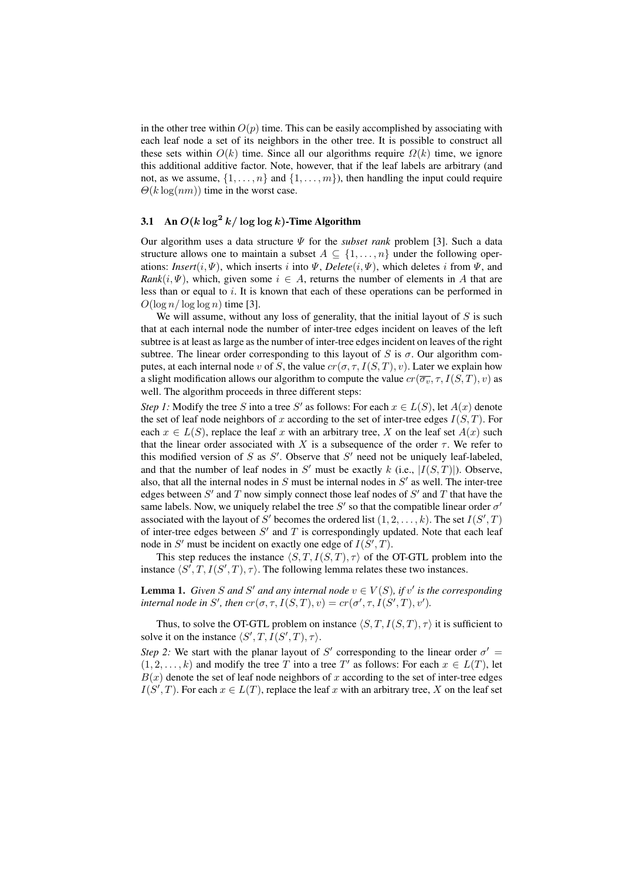in the other tree within  $O(p)$  time. This can be easily accomplished by associating with each leaf node a set of its neighbors in the other tree. It is possible to construct all these sets within  $O(k)$  time. Since all our algorithms require  $\Omega(k)$  time, we ignore this additional additive factor. Note, however, that if the leaf labels are arbitrary (and not, as we assume,  $\{1, \ldots, n\}$  and  $\{1, \ldots, m\}$ , then handling the input could require  $\Theta(k \log(nm))$  time in the worst case.

# 3.1 An  $O(k \log^2 k / \log \log k)$ -Time Algorithm

Our algorithm uses a data structure  $\Psi$  for the *subset rank* problem [3]. Such a data structure allows one to maintain a subset  $A \subseteq \{1, \ldots, n\}$  under the following operations: *Insert*( $i$ ,  $\Psi$ ), which inserts i into  $\Psi$ , *Delete*( $i$ ,  $\Psi$ ), which deletes i from  $\Psi$ , and  $Rank(i, \Psi)$ , which, given some  $i \in A$ , returns the number of elements in A that are less than or equal to  $i$ . It is known that each of these operations can be performed in  $O(\log n / \log \log n)$  time [3].

We will assume, without any loss of generality, that the initial layout of  $S$  is such that at each internal node the number of inter-tree edges incident on leaves of the left subtree is at least as large as the number of inter-tree edges incident on leaves of the right subtree. The linear order corresponding to this layout of S is  $\sigma$ . Our algorithm computes, at each internal node v of S, the value  $cr(\sigma, \tau, I(S,T), v)$ . Later we explain how a slight modification allows our algorithm to compute the value  $cr(\overline{\sigma_v}, \tau, I(S,T), v)$  as well. The algorithm proceeds in three different steps:

*Step 1:* Modify the tree S into a tree S' as follows: For each  $x \in L(S)$ , let  $A(x)$  denote the set of leaf node neighbors of x according to the set of inter-tree edges  $I(S, T)$ . For each  $x \in L(S)$ , replace the leaf x with an arbitrary tree, X on the leaf set  $A(x)$  such that the linear order associated with X is a subsequence of the order  $\tau$ . We refer to this modified version of  $S$  as  $S'$ . Observe that  $S'$  need not be uniquely leaf-labeled, and that the number of leaf nodes in S' must be exactly k (i.e.,  $|I(S,T)|$ ). Observe, also, that all the internal nodes in  $S$  must be internal nodes in  $S'$  as well. The inter-tree edges between  $S'$  and  $T$  now simply connect those leaf nodes of  $S'$  and  $T$  that have the same labels. Now, we uniquely relabel the tree S' so that the compatible linear order  $\sigma'$ associated with the layout of S' becomes the ordered list  $(1, 2, \ldots, k)$ . The set  $I(S', T)$ of inter-tree edges between  $S'$  and  $T$  is correspondingly updated. Note that each leaf node in  $S'$  must be incident on exactly one edge of  $I(S',T)$ .

This step reduces the instance  $\langle S, T, I(S, T), \tau \rangle$  of the OT-GTL problem into the instance  $\langle S', T, I(S', T), \tau \rangle$ . The following lemma relates these two instances.

**Lemma 1.** Given S and S' and any internal node  $v \in V(S)$ , if v' is the corresponding *internal node in* S', then  $cr(\sigma, \tau, I(S,T), v) = cr(\sigma', \tau, I(S', T), v')$ .

Thus, to solve the OT-GTL problem on instance  $\langle S, T, I(S, T), \tau \rangle$  it is sufficient to solve it on the instance  $\langle S', T, I(S', T), \tau \rangle$ .

*Step 2:* We start with the planar layout of S' corresponding to the linear order  $\sigma'$  =  $(1, 2, \ldots, k)$  and modify the tree T into a tree T' as follows: For each  $x \in L(T)$ , let  $B(x)$  denote the set of leaf node neighbors of x according to the set of inter-tree edges  $I(S',T)$ . For each  $x \in L(T)$ , replace the leaf x with an arbitrary tree, X on the leaf set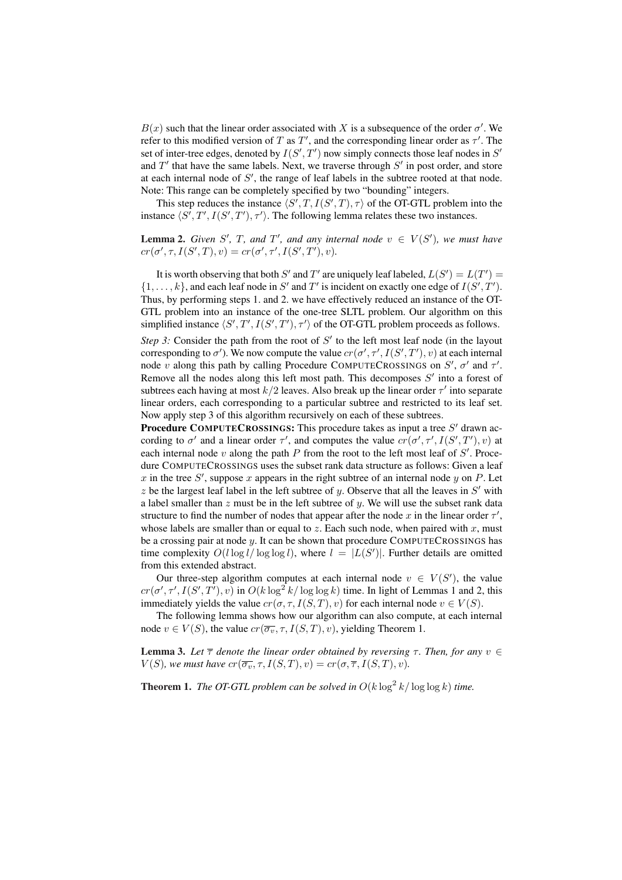$B(x)$  such that the linear order associated with X is a subsequence of the order  $\sigma'$ . We refer to this modified version of T as T', and the corresponding linear order as  $\tau'$ . The set of inter-tree edges, denoted by  $I(S', T')$  now simply connects those leaf nodes in  $S'$ and  $T'$  that have the same labels. Next, we traverse through  $S'$  in post order, and store at each internal node of  $S'$ , the range of leaf labels in the subtree rooted at that node. Note: This range can be completely specified by two "bounding" integers.

This step reduces the instance  $\langle S', T, I(S', T), \tau \rangle$  of the OT-GTL problem into the instance  $\langle S', T', I(S', T'), \tau' \rangle$ . The following lemma relates these two instances.

**Lemma 2.** Given S', T, and T', and any internal node  $v \in V(S')$ , we must have  $cr(\sigma', \tau, I(S', T), v) = cr(\sigma', \tau', I(S', T'), v).$ 

It is worth observing that both S' and T' are uniquely leaf labeled,  $L(S') = L(T') =$  $\{1,\ldots,k\}$ , and each leaf node in S' and T' is incident on exactly one edge of  $I(S',T')$ . Thus, by performing steps 1. and 2. we have effectively reduced an instance of the OT-GTL problem into an instance of the one-tree SLTL problem. Our algorithm on this simplified instance  $\langle S', T', I(S', T'), \tau' \rangle$  of the OT-GTL problem proceeds as follows.

*Step 3:* Consider the path from the root of  $S'$  to the left most leaf node (in the layout corresponding to  $\sigma'$ ). We now compute the value  $cr(\sigma', \tau', I(S', T'), v)$  at each internal node v along this path by calling Procedure COMPUTECROSSINGS on  $S'$ ,  $\sigma'$  and  $\tau'$ . Remove all the nodes along this left most path. This decomposes  $S'$  into a forest of subtrees each having at most  $k/2$  leaves. Also break up the linear order  $\tau'$  into separate linear orders, each corresponding to a particular subtree and restricted to its leaf set. Now apply step 3 of this algorithm recursively on each of these subtrees.

**Procedure COMPUTECROSSINGS:** This procedure takes as input a tree  $S'$  drawn according to  $\sigma'$  and a linear order  $\tau'$ , and computes the value  $cr(\sigma', \tau', I(S', T'), v)$  at each internal node  $v$  along the path  $P$  from the root to the left most leaf of  $S'$ . Procedure COMPUTECROSSINGS uses the subset rank data structure as follows: Given a leaf x in the tree  $S'$ , suppose x appears in the right subtree of an internal node y on P. Let  $z$  be the largest leaf label in the left subtree of y. Observe that all the leaves in  $S'$  with a label smaller than  $z$  must be in the left subtree of  $y$ . We will use the subset rank data structure to find the number of nodes that appear after the node x in the linear order  $\tau'$ , whose labels are smaller than or equal to  $z$ . Each such node, when paired with  $x$ , must be a crossing pair at node y. It can be shown that procedure COMPUTECROSSINGS has time complexity  $O(l \log l / \log \log l)$ , where  $l = |L(S')|$ . Further details are omitted from this extended abstract.

Our three-step algorithm computes at each internal node  $v \in V(S')$ , the value  $cr(\sigma', \tau', I(S', T'), v)$  in  $O(k \log^2 k / \log \log k)$  time. In light of Lemmas 1 and 2, this immediately yields the value  $cr(\sigma, \tau, I(S,T), v)$  for each internal node  $v \in V(S)$ .

The following lemma shows how our algorithm can also compute, at each internal node  $v \in V(S)$ , the value  $cr(\overline{\sigma_v}, \tau, I(S,T), v)$ , yielding Theorem 1.

**Lemma 3.** Let  $\overline{\tau}$  denote the linear order obtained by reversing  $\tau$ . Then, for any  $v \in$  $V(S)$ , we must have  $cr(\overline{\sigma_v}, \tau, I(S,T), v) = cr(\sigma, \overline{\tau}, I(S,T), v)$ .

**Theorem 1.** The OT-GTL problem can be solved in  $O(k \log^2 k / \log \log k)$  time.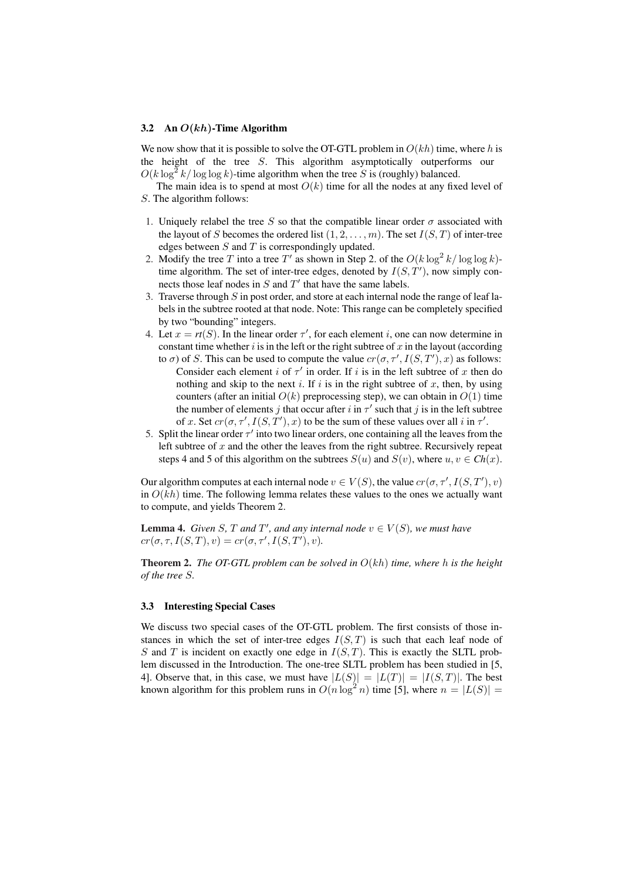#### 3.2 An  $O(kh)$ -Time Algorithm

We now show that it is possible to solve the OT-GTL problem in  $O(kh)$  time, where h is the height of the tree S. This algorithm asymptotically outperforms our  $O(k \log^2 k / \log \log k)$ -time algorithm when the tree S is (roughly) balanced.

The main idea is to spend at most  $O(k)$  time for all the nodes at any fixed level of S. The algorithm follows:

- 1. Uniquely relabel the tree S so that the compatible linear order  $\sigma$  associated with the layout of S becomes the ordered list  $(1, 2, \ldots, m)$ . The set  $I(S, T)$  of inter-tree edges between  $S$  and  $T$  is correspondingly updated.
- 2. Modify the tree T into a tree T' as shown in Step 2. of the  $O(k \log^2 k / \log \log k)$ time algorithm. The set of inter-tree edges, denoted by  $I(S, T')$ , now simply connects those leaf nodes in  $S$  and  $T'$  that have the same labels.
- 3. Traverse through S in post order, and store at each internal node the range of leaf labels in the subtree rooted at that node. Note: This range can be completely specified by two "bounding" integers.
- 4. Let  $x = rt(S)$ . In the linear order  $\tau'$ , for each element i, one can now determine in constant time whether  $i$  is in the left or the right subtree of  $x$  in the layout (according to  $\sigma$ ) of S. This can be used to compute the value  $cr(\sigma, \tau', I(S, T'), x)$  as follows: Consider each element i of  $\tau'$  in order. If i is in the left subtree of x then do nothing and skip to the next i. If i is in the right subtree of x, then, by using counters (after an initial  $O(k)$  preprocessing step), we can obtain in  $O(1)$  time the number of elements j that occur after i in  $\tau'$  such that j is in the left subtree of x. Set  $cr(\sigma, \tau', I(S, T'), x)$  to be the sum of these values over all i in  $\tau'$ .
- 5. Split the linear order  $\tau'$  into two linear orders, one containing all the leaves from the left subtree of  $x$  and the other the leaves from the right subtree. Recursively repeat steps 4 and 5 of this algorithm on the subtrees  $S(u)$  and  $S(v)$ , where  $u, v \in Ch(x)$ .

Our algorithm computes at each internal node  $v \in V(S)$ , the value  $cr(\sigma, \tau', I(S, T'), v)$ in  $O(kh)$  time. The following lemma relates these values to the ones we actually want to compute, and yields Theorem 2.

**Lemma 4.** *Given* S, T and T', and any internal node  $v \in V(S)$ , we must have  $cr(\sigma, \tau, I(S,T), v) = cr(\sigma, \tau', I(S,T'), v).$ 

Theorem 2. *The OT-GTL problem can be solved in* O(kh) *time, where* h *is the height of the tree* S*.*

#### 3.3 Interesting Special Cases

We discuss two special cases of the OT-GTL problem. The first consists of those instances in which the set of inter-tree edges  $I(S,T)$  is such that each leaf node of S and T is incident on exactly one edge in  $I(S,T)$ . This is exactly the SLTL problem discussed in the Introduction. The one-tree SLTL problem has been studied in [5, 4]. Observe that, in this case, we must have  $|L(S)| = |L(T)| = |I(S,T)|$ . The best known algorithm for this problem runs in  $O(n \log^2 n)$  time [5], where  $n = |L(S)| =$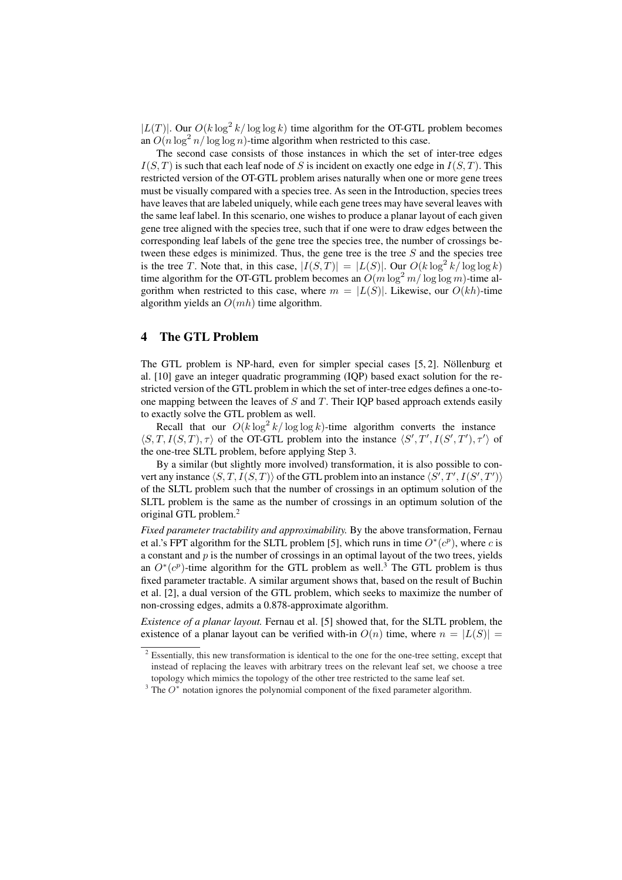$|L(T)|$ . Our  $O(k \log^2 k / \log \log k)$  time algorithm for the OT-GTL problem becomes an  $O(n \log^2 n / \log \log n)$ -time algorithm when restricted to this case.

The second case consists of those instances in which the set of inter-tree edges  $I(S, T)$  is such that each leaf node of S is incident on exactly one edge in  $I(S, T)$ . This restricted version of the OT-GTL problem arises naturally when one or more gene trees must be visually compared with a species tree. As seen in the Introduction, species trees have leaves that are labeled uniquely, while each gene trees may have several leaves with the same leaf label. In this scenario, one wishes to produce a planar layout of each given gene tree aligned with the species tree, such that if one were to draw edges between the corresponding leaf labels of the gene tree the species tree, the number of crossings between these edges is minimized. Thus, the gene tree is the tree  $S$  and the species tree is the tree T. Note that, in this case,  $|I(S,T)| = |L(S)|$ . Our  $O(k \log^2 k / \log \log k)$ time algorithm for the OT-GTL problem becomes an  $O(m \log^2 m / \log \log m)$ -time algorithm when restricted to this case, where  $m = |L(S)|$ . Likewise, our  $O(kh)$ -time algorithm yields an  $O(mh)$  time algorithm.

# 4 The GTL Problem

The GTL problem is NP-hard, even for simpler special cases  $[5, 2]$ . Nöllenburg et al. [10] gave an integer quadratic programming (IQP) based exact solution for the restricted version of the GTL problem in which the set of inter-tree edges defines a one-toone mapping between the leaves of  $S$  and  $T$ . Their IQP based approach extends easily to exactly solve the GTL problem as well.

Recall that our  $O(k \log^2 k / \log \log k)$ -time algorithm converts the instance  $\langle S, T, I(S, T), \tau \rangle$  of the OT-GTL problem into the instance  $\langle S', T', I(S', T'), \tau' \rangle$  of the one-tree SLTL problem, before applying Step 3.

By a similar (but slightly more involved) transformation, it is also possible to convert any instance  $\langle S, T, I(S, T) \rangle$  of the GTL problem into an instance  $\langle S', T', I(S', T') \rangle$ of the SLTL problem such that the number of crossings in an optimum solution of the SLTL problem is the same as the number of crossings in an optimum solution of the original GTL problem.<sup>2</sup>

*Fixed parameter tractability and approximability.* By the above transformation, Fernau et al.'s FPT algorithm for the SLTL problem [5], which runs in time  $O^*(c^p)$ , where c is a constant and  $p$  is the number of crossings in an optimal layout of the two trees, yields an  $O^*(c^p)$ -time algorithm for the GTL problem as well.<sup>3</sup> The GTL problem is thus fixed parameter tractable. A similar argument shows that, based on the result of Buchin et al. [2], a dual version of the GTL problem, which seeks to maximize the number of non-crossing edges, admits a 0.878-approximate algorithm.

*Existence of a planar layout.* Fernau et al. [5] showed that, for the SLTL problem, the existence of a planar layout can be verified with-in  $O(n)$  time, where  $n = |L(S)| =$ 

 $2$  Essentially, this new transformation is identical to the one for the one-tree setting, except that instead of replacing the leaves with arbitrary trees on the relevant leaf set, we choose a tree topology which mimics the topology of the other tree restricted to the same leaf set.

<sup>&</sup>lt;sup>3</sup> The  $O^*$  notation ignores the polynomial component of the fixed parameter algorithm.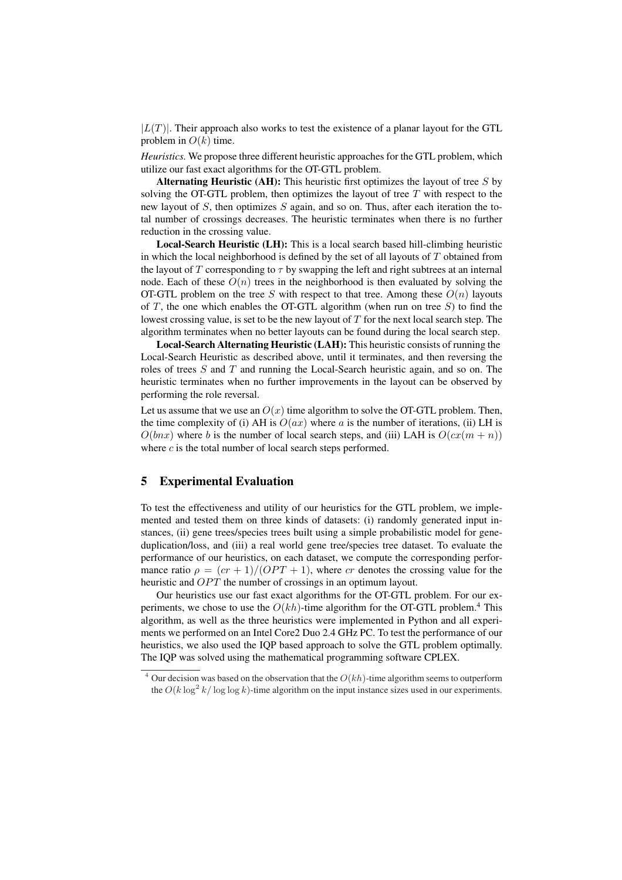$|L(T)|$ . Their approach also works to test the existence of a planar layout for the GTL problem in  $O(k)$  time.

*Heuristics.* We propose three different heuristic approaches for the GTL problem, which utilize our fast exact algorithms for the OT-GTL problem.

**Alternating Heuristic (AH):** This heuristic first optimizes the layout of tree S by solving the OT-GTL problem, then optimizes the layout of tree  $T$  with respect to the new layout of  $S$ , then optimizes  $S$  again, and so on. Thus, after each iteration the total number of crossings decreases. The heuristic terminates when there is no further reduction in the crossing value.

Local-Search Heuristic (LH): This is a local search based hill-climbing heuristic in which the local neighborhood is defined by the set of all layouts of  $T$  obtained from the layout of T corresponding to  $\tau$  by swapping the left and right subtrees at an internal node. Each of these  $O(n)$  trees in the neighborhood is then evaluated by solving the OT-GTL problem on the tree S with respect to that tree. Among these  $O(n)$  layouts of  $T$ , the one which enables the OT-GTL algorithm (when run on tree  $S$ ) to find the lowest crossing value, is set to be the new layout of  $T$  for the next local search step. The algorithm terminates when no better layouts can be found during the local search step.

Local-Search Alternating Heuristic (LAH): This heuristic consists of running the Local-Search Heuristic as described above, until it terminates, and then reversing the roles of trees  $S$  and  $T$  and running the Local-Search heuristic again, and so on. The heuristic terminates when no further improvements in the layout can be observed by performing the role reversal.

Let us assume that we use an  $O(x)$  time algorithm to solve the OT-GTL problem. Then, the time complexity of (i) AH is  $O(ax)$  where a is the number of iterations, (ii) LH is  $O(bnx)$  where b is the number of local search steps, and (iii) LAH is  $O(cx(m + n))$ where  $c$  is the total number of local search steps performed.

### 5 Experimental Evaluation

To test the effectiveness and utility of our heuristics for the GTL problem, we implemented and tested them on three kinds of datasets: (i) randomly generated input instances, (ii) gene trees/species trees built using a simple probabilistic model for geneduplication/loss, and (iii) a real world gene tree/species tree dataset. To evaluate the performance of our heuristics, on each dataset, we compute the corresponding performance ratio  $\rho = (cr + 1)/(OPT + 1)$ , where cr denotes the crossing value for the heuristic and *OPT* the number of crossings in an optimum layout.

Our heuristics use our fast exact algorithms for the OT-GTL problem. For our experiments, we chose to use the  $O(kh)$ -time algorithm for the OT-GTL problem.<sup>4</sup> This algorithm, as well as the three heuristics were implemented in Python and all experiments we performed on an Intel Core2 Duo 2.4 GHz PC. To test the performance of our heuristics, we also used the IQP based approach to solve the GTL problem optimally. The IQP was solved using the mathematical programming software CPLEX.

<sup>&</sup>lt;sup>4</sup> Our decision was based on the observation that the  $O(kh)$ -time algorithm seems to outperform the  $O(k \log^2 k / \log \log k)$ -time algorithm on the input instance sizes used in our experiments.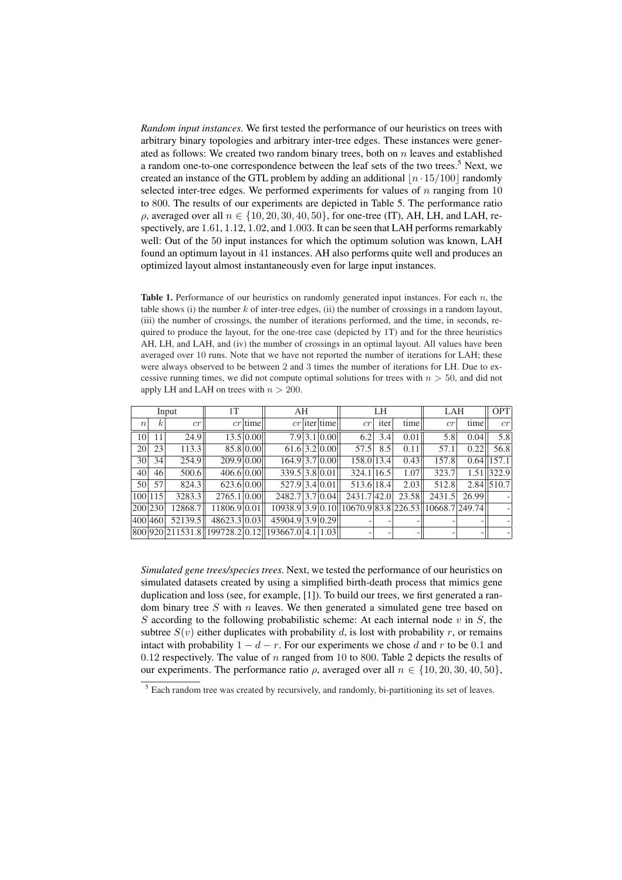*Random input instances.* We first tested the performance of our heuristics on trees with arbitrary binary topologies and arbitrary inter-tree edges. These instances were generated as follows: We created two random binary trees, both on  $n$  leaves and established a random one-to-one correspondence between the leaf sets of the two trees.<sup>5</sup> Next, we created an instance of the GTL problem by adding an additional  $\left|n\right. \cdot 15/100$  randomly selected inter-tree edges. We performed experiments for values of  $n$  ranging from 10 to 800. The results of our experiments are depicted in Table 5. The performance ratio  $\rho$ , averaged over all  $n \in \{10, 20, 30, 40, 50\}$ , for one-tree (IT), AH, LH, and LAH, respectively, are 1.61, 1.12, 1.02, and 1.003. It can be seen that LAH performs remarkably well: Out of the 50 input instances for which the optimum solution was known, LAH found an optimum layout in 41 instances. AH also performs quite well and produces an optimized layout almost instantaneously even for large input instances.

**Table 1.** Performance of our heuristics on randomly generated input instances. For each  $n$ , the table shows (i) the number  $k$  of inter-tree edges, (ii) the number of crossings in a random layout, (iii) the number of crossings, the number of iterations performed, and the time, in seconds, required to produce the layout, for the one-tree case (depicted by 1T) and for the three heuristics AH, LH, and LAH, and (iv) the number of crossings in an optimal layout. All values have been averaged over 10 runs. Note that we have not reported the number of iterations for LAH; these were always observed to be between 2 and 3 times the number of iterations for LH. Due to excessive running times, we did not compute optimal solutions for trees with  $n > 50$ , and did not apply LH and LAH on trees with  $n > 200$ .

| Input            |                 |                  | 1T           |           | AH                              |  |                 | LH                                                      |      |       | <b>LAH</b> |       | <b>OPT</b>     |
|------------------|-----------------|------------------|--------------|-----------|---------------------------------|--|-----------------|---------------------------------------------------------|------|-------|------------|-------|----------------|
| $\boldsymbol{n}$ | k               | cr               |              | $cr$ time |                                 |  | $cr$ liter time | cr                                                      | iter | time  | cr         | time  | cr             |
| 10               | 11              | 24.9             |              | 13.5 0.00 |                                 |  | 7.9 3.1 0.00    | 6.2                                                     | 3.4  | 0.01  | 5.8        | 0.04  | 5.8            |
| 20               | 23              | 113.3            |              | 85.8 0.00 |                                 |  | 61.6 3.2 0.00   | 57.5                                                    | 8.5  | 0.11  | 57.1       | 0.22  | 56.8           |
| 30               | 34              | 254.9            | 209.9 0.00   |           | 164.9 3.7 0.00                  |  |                 | 158.0 13.4                                              |      | 0.43  | 157.8      |       | $0.64$   157.1 |
| 40               | 46 <sup>1</sup> | 500.6            | 406.6 0.00   |           | 339.5 3.8 0.01                  |  |                 | 324.1 16.5                                              |      | 1.07  | 323.7      |       | 1.51   322.9   |
| 50               | 57              | 824.3            | 623.6 0.00   |           | 527.9 3.4 0.01                  |  |                 | 513.6 18.4                                              |      | 2.03  | 512.8      |       | $2.84$ 510.7   |
| 100 115          |                 | 3283.3           | 2765.1 0.00  |           | 2482.7 3.7 0.04                 |  |                 | 2431.742.0                                              |      | 23.58 | 2431.5     | 26.99 |                |
| 200 230          |                 | 12868.7          | 11806.9 0.01 |           |                                 |  |                 | 10938.9 3.9 0.10   10670.9 83.8 226.53   10668.7 249.74 |      |       |            |       |                |
| 400 460          |                 | 52139.5          | 48623.3 0.03 |           | 45904.9 3.9 0.29                |  |                 |                                                         |      |       |            |       |                |
|                  |                 | 800 920 211531.8 |              |           | 199728.2 0.12 193667.0 4.1 1.03 |  |                 |                                                         |      |       |            |       |                |

*Simulated gene trees/species trees.* Next, we tested the performance of our heuristics on simulated datasets created by using a simplified birth-death process that mimics gene duplication and loss (see, for example, [1]). To build our trees, we first generated a random binary tree  $S$  with  $n$  leaves. We then generated a simulated gene tree based on S according to the following probabilistic scheme: At each internal node  $v$  in  $S$ , the subtree  $S(v)$  either duplicates with probability d, is lost with probability r, or remains intact with probability  $1 - d - r$ . For our experiments we chose d and r to be 0.1 and 0.12 respectively. The value of n ranged from 10 to 800. Table 2 depicts the results of our experiments. The performance ratio  $\rho$ , averaged over all  $n \in \{10, 20, 30, 40, 50\}$ ,

 $<sup>5</sup>$  Each random tree was created by recursively, and randomly, bi-partitioning its set of leaves.</sup>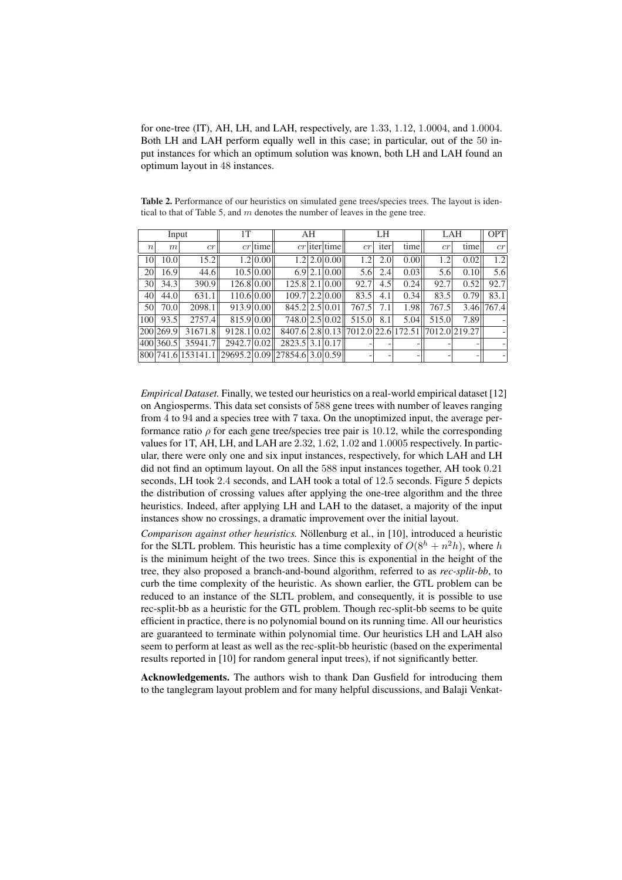for one-tree (IT), AH, LH, and LAH, respectively, are 1.33, 1.12, 1.0004, and 1.0004. Both LH and LAH perform equally well in this case; in particular, out of the 50 input instances for which an optimum solution was known, both LH and LAH found an optimum layout in 48 instances.

| Input             |           |                                                    | 1T          |           | AH              |  |                    | LH    |      |      | LAH                                              |      | <b>OPT</b>               |
|-------------------|-----------|----------------------------------------------------|-------------|-----------|-----------------|--|--------------------|-------|------|------|--------------------------------------------------|------|--------------------------|
| $\left  n\right $ | m         | cr                                                 |             | $cr$ time |                 |  | $cr$   iter   time | cr    | iter | time | cr                                               | time | cr                       |
| 10 <sup>1</sup>   | 10.0      | 15.2                                               |             | 1.2 0.00  |                 |  | 1.2 2.0 0.00       | 1.2   | 2.0  | 0.00 | 1.2                                              | 0.02 | 1.2                      |
| 20                | 16.9      | 44.6                                               |             | 10.5 0.00 |                 |  | 6.9 2.1 0.00       | 5.6   | 2.4  | 0.03 | 5.6                                              | 0.10 | 5.6                      |
| 30 <sup>l</sup>   | 34.3      | 390.9                                              | 126.8 0.00  |           | 125.8 2.1 0.00  |  |                    | 92.7  | 4.5  | 0.24 | 92.7                                             | 0.52 | 92.7                     |
| 40                | 44.0      | 631.1                                              | 110.6 0.00  |           | 109.7 2.2 0.00  |  |                    | 83.5  | 4.1  | 0.34 | 83.5                                             | 0.79 | 83.1                     |
| 50 <sup>1</sup>   | 70.0      | 2098.1                                             | 913.9 0.00  |           | 845.2 2.5 0.01  |  |                    | 767.5 | 7.1  | 1.98 | 767.5                                            |      | 3.46 767.4               |
| 100               | 93.5      | 2757.4                                             | 815.9 0.00  |           | 748.0 2.5 0.02  |  |                    | 515.0 | 8.1  | 5.04 | 515.0                                            | 7.89 | $\overline{a}$           |
|                   | 200 269.9 | 31671.8                                            | 9128.1 0.02 |           |                 |  |                    |       |      |      | 8407.6 2.8 0.13 7012.0 22.6 172.51 7012.0 219.27 |      | $\overline{a}$           |
|                   | 400 360.5 | 35941.7                                            | 2942.7 0.02 |           | 2823.5 3.1 0.17 |  |                    |       |      |      |                                                  |      | $\overline{\phantom{a}}$ |
|                   |           | 800 741.6 153141.1  29695.2 0.09  27854.6 3.0 0.59 |             |           |                 |  |                    |       |      |      |                                                  |      | $\overline{a}$           |

Table 2. Performance of our heuristics on simulated gene trees/species trees. The layout is identical to that of Table 5, and  $m$  denotes the number of leaves in the gene tree.

*Empirical Dataset.* Finally, we tested our heuristics on a real-world empirical dataset [12] on Angiosperms. This data set consists of 588 gene trees with number of leaves ranging from 4 to 94 and a species tree with 7 taxa. On the unoptimized input, the average performance ratio  $\rho$  for each gene tree/species tree pair is 10.12, while the corresponding values for 1T, AH, LH, and LAH are 2.32, 1.62, 1.02 and 1.0005 respectively. In particular, there were only one and six input instances, respectively, for which LAH and LH did not find an optimum layout. On all the 588 input instances together, AH took 0.21 seconds, LH took 2.4 seconds, and LAH took a total of 12.5 seconds. Figure 5 depicts the distribution of crossing values after applying the one-tree algorithm and the three heuristics. Indeed, after applying LH and LAH to the dataset, a majority of the input instances show no crossings, a dramatic improvement over the initial layout.

*Comparison against other heuristics.* Nöllenburg et al., in [10], introduced a heuristic for the SLTL problem. This heuristic has a time complexity of  $O(8<sup>h</sup> + n<sup>2</sup>h)$ , where h is the minimum height of the two trees. Since this is exponential in the height of the tree, they also proposed a branch-and-bound algorithm, referred to as *rec-split-bb*, to curb the time complexity of the heuristic. As shown earlier, the GTL problem can be reduced to an instance of the SLTL problem, and consequently, it is possible to use rec-split-bb as a heuristic for the GTL problem. Though rec-split-bb seems to be quite efficient in practice, there is no polynomial bound on its running time. All our heuristics are guaranteed to terminate within polynomial time. Our heuristics LH and LAH also seem to perform at least as well as the rec-split-bb heuristic (based on the experimental results reported in [10] for random general input trees), if not significantly better.

Acknowledgements. The authors wish to thank Dan Gusfield for introducing them to the tanglegram layout problem and for many helpful discussions, and Balaji Venkat-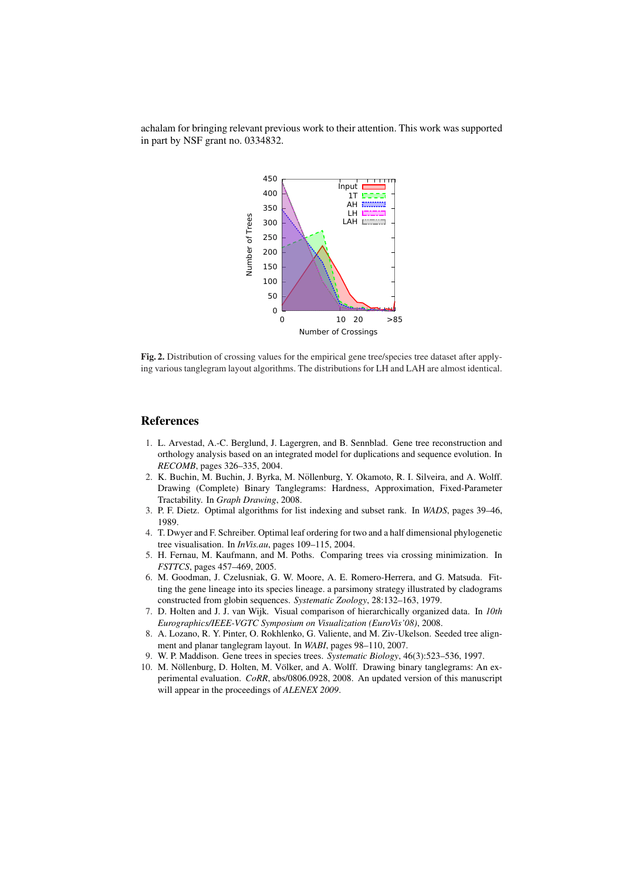achalam for bringing relevant previous work to their attention. This work was supported in part by NSF grant no. 0334832.



Fig. 2. Distribution of crossing values for the empirical gene tree/species tree dataset after applying various tanglegram layout algorithms. The distributions for LH and LAH are almost identical.

# **References**

- 1. L. Arvestad, A.-C. Berglund, J. Lagergren, and B. Sennblad. Gene tree reconstruction and orthology analysis based on an integrated model for duplications and sequence evolution. In *RECOMB*, pages 326–335, 2004.
- 2. K. Buchin, M. Buchin, J. Byrka, M. Nollenburg, Y. Okamoto, R. I. Silveira, and A. Wolff. ¨ Drawing (Complete) Binary Tanglegrams: Hardness, Approximation, Fixed-Parameter Tractability. In *Graph Drawing*, 2008.
- 3. P. F. Dietz. Optimal algorithms for list indexing and subset rank. In *WADS*, pages 39–46, 1989.
- 4. T. Dwyer and F. Schreiber. Optimal leaf ordering for two and a half dimensional phylogenetic tree visualisation. In *InVis.au*, pages 109–115, 2004.
- 5. H. Fernau, M. Kaufmann, and M. Poths. Comparing trees via crossing minimization. In *FSTTCS*, pages 457–469, 2005.
- 6. M. Goodman, J. Czelusniak, G. W. Moore, A. E. Romero-Herrera, and G. Matsuda. Fitting the gene lineage into its species lineage. a parsimony strategy illustrated by cladograms constructed from globin sequences. *Systematic Zoology*, 28:132–163, 1979.
- 7. D. Holten and J. J. van Wijk. Visual comparison of hierarchically organized data. In *10th Eurographics/IEEE-VGTC Symposium on Visualization (EuroVis'08)*, 2008.
- 8. A. Lozano, R. Y. Pinter, O. Rokhlenko, G. Valiente, and M. Ziv-Ukelson. Seeded tree alignment and planar tanglegram layout. In *WABI*, pages 98–110, 2007.
- 9. W. P. Maddison. Gene trees in species trees. *Systematic Biology*, 46(3):523–536, 1997.
- 10. M. Nöllenburg, D. Holten, M. Völker, and A. Wolff. Drawing binary tanglegrams: An experimental evaluation. *CoRR*, abs/0806.0928, 2008. An updated version of this manuscript will appear in the proceedings of *ALENEX 2009*.